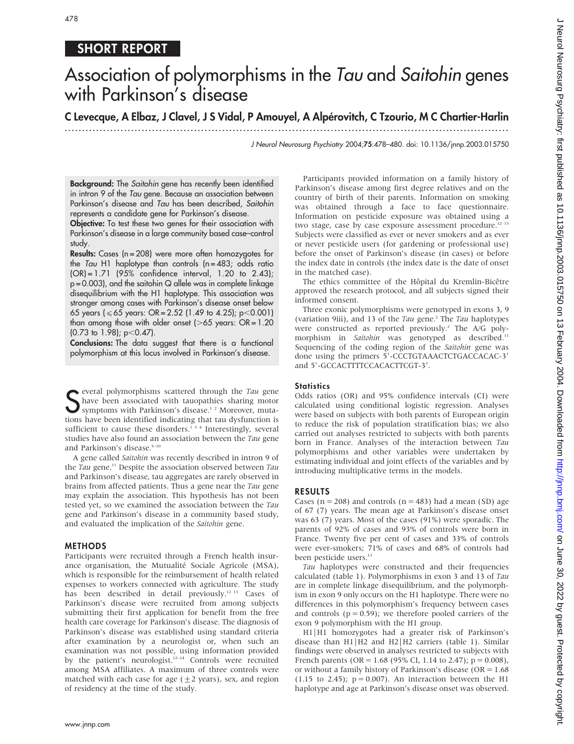# SHORT REPORT

# Association of polymorphisms in the Tau and Saitohin genes with Parkinson's disease

# C Levecque, A Elbaz, J Clavel, J S Vidal, P Amouyel, A Alpérovitch, C Tzourio, M C Chartier-Harlin

.............................................................................................................................. .

J Neurol Neurosurg Psychiatry 2004;75:478–480. doi: 10.1136/jnnp.2003.015750

Background: The Saitohin gene has recently been identified in intron 9 of the Tau gene. Because an association between Parkinson's disease and Tau has been described, Saitohin represents a candidate gene for Parkinson's disease.

Objective: To test these two genes for their association with Parkinson's disease in a large community based case–control study.

Results: Cases (n = 208) were more often homozygotes for the Tau H1 haplotype than controls ( $n = 483$ ; odds ratio  $(OR) = 1.71$   $(95\%$  confidence interval, 1.20 to 2.43);  $p = 0.003$ ), and the saitohin Q allele was in complete linkage disequilibrium with the H1 haplotype. This association was stronger among cases with Parkinson's disease onset below 65 years ( $\leq 65$  years: OR = 2.52 (1.49 to 4.25); p $<$ 0.001) than among those with older onset ( $>65$  years: OR = 1.20  $(0.73$  to 1.98);  $p<0.47$ ).

Conclusions: The data suggest that there is a functional polymorphism at this locus involved in Parkinson's disease.

S everal polymorphisms scattered through the *Tau* gene<br>S have been associated with tauopathies sharing motor<br>symptoms with Parkinson's disease.<sup>1,2</sup> Moreover, mutahave been associated with tauopathies sharing motor symptoms with Parkinson's disease.<sup>1</sup> <sup>2</sup> Moreover, mutations have been identified indicating that tau dysfunction is sufficient to cause these disorders.<sup>134</sup> Interestingly, several studies have also found an association between the Tau gene and Parkinson's disease.<sup>5-10</sup>

A gene called Saitohin was recently described in intron 9 of the Tau gene.<sup>11</sup> Despite the association observed between Tau and Parkinson's disease, tau aggregates are rarely observed in brains from affected patients. Thus a gene near the Tau gene may explain the association. This hypothesis has not been tested yet, so we examined the association between the Tau gene and Parkinson's disease in a community based study, and evaluated the implication of the Saitohin gene.

### METHODS

Participants were recruited through a French health insurance organisation, the Mutualité Sociale Agricole (MSA), which is responsible for the reimbursement of health related expenses to workers connected with agriculture. The study has been described in detail previously.<sup>12 13</sup> Cases of Parkinson's disease were recruited from among subjects submitting their first application for benefit from the free health care coverage for Parkinson's disease. The diagnosis of Parkinson's disease was established using standard criteria after examination by a neurologist or, when such an examination was not possible, using information provided by the patient's neurologist.<sup>12-14</sup> Controls were recruited among MSA affiliates. A maximum of three controls were matched with each case for age  $(\pm 2 \text{ years})$ , sex, and region of residency at the time of the study.

Participants provided information on a family history of Parkinson's disease among first degree relatives and on the country of birth of their parents. Information on smoking was obtained through a face to face questionnaire. Information on pesticide exposure was obtained using a two stage, case by case exposure assessment procedure.<sup>12 13</sup> Subjects were classified as ever or never smokers and as ever or never pesticide users (for gardening or professional use) before the onset of Parkinson's disease (in cases) or before the index date in controls (the index date is the date of onset in the matched case).

The ethics committee of the Hôpital du Kremlin-Bicêtre approved the research protocol, and all subjects signed their informed consent.

Three exonic polymorphisms were genotyped in exons 3, 9 (variation 9iii), and 13 of the Tau gene.<sup>2</sup> The Tau haplotypes were constructed as reported previously.<sup>2</sup> The A/G polymorphism in Saitohin was genotyped as described.<sup>11</sup> Sequencing of the coding region of the Saitohin gene was done using the primers 5'-CCCTGTAAACTCTGACCACAC-3' and 5'-GCCACTTTTCCACACTTCGT-3'.

#### **Statistics**

Odds ratios (OR) and 95% confidence intervals (CI) were calculated using conditional logistic regression. Analyses were based on subjects with both parents of European origin to reduce the risk of population stratification bias; we also carried out analyses restricted to subjects with both parents born in France. Analyses of the interaction between Tau polymorphisms and other variables were undertaken by estimating individual and joint effects of the variables and by introducing multiplicative terms in the models.

## RESULTS

Cases ( $n = 208$ ) and controls ( $n = 483$ ) had a mean (SD) age of 67 (7) years. The mean age at Parkinson's disease onset was 63 (7) years. Most of the cases (91%) were sporadic. The parents of 92% of cases and 93% of controls were born in France. Twenty five per cent of cases and 33% of controls were ever-smokers; 71% of cases and 68% of controls had been pesticide users.<sup>13</sup>

Tau haplotypes were constructed and their frequencies calculated (table 1). Polymorphisms in exon 3 and 13 of Tau are in complete linkage disequilibrium, and the polymorphism in exon 9 only occurs on the H1 haplotype. There were no differences in this polymorphism's frequency between cases and controls ( $p = 0.59$ ); we therefore pooled carriers of the exon 9 polymorphism with the H1 group.

H1|H1 homozygotes had a greater risk of Parkinson's disease than H1 | H2 and H2 | H2 carriers (table 1). Similar findings were observed in analyses restricted to subjects with French parents (OR = 1.68 (95% CI, 1.14 to 2.47);  $p = 0.008$ ), or without a family history of Parkinson's disease ( $OR = 1.68$ )  $(1.15 \text{ to } 2.45); \ p = 0.007$ . An interaction between the H1 haplotype and age at Parkinson's disease onset was observed.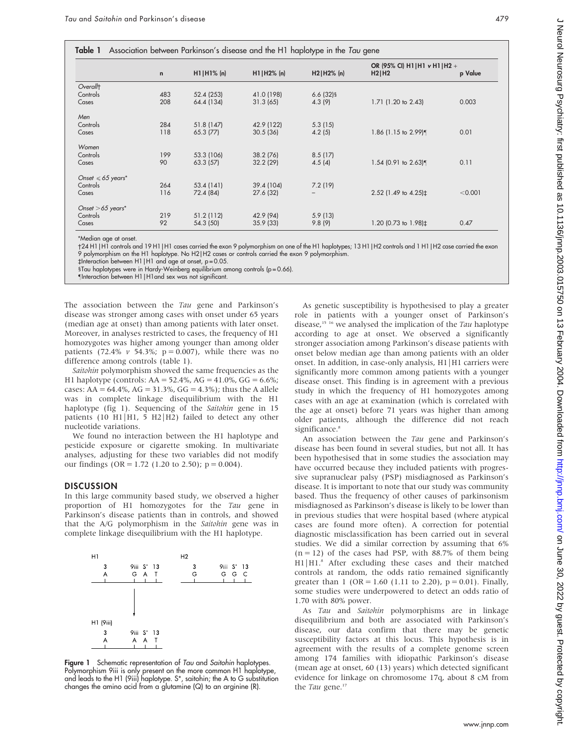|  |  |  |  | Table 1 Association between Parkinson's disease and the H1 haplotype in the Tau gene |  |
|--|--|--|--|--------------------------------------------------------------------------------------|--|
|--|--|--|--|--------------------------------------------------------------------------------------|--|

|                             | $\mathsf{n}$ | $HI H1%$ (n) | $H1 H2\%$ (n) | $H2 H2\% $ (n)           | OR (95% CI) H1   H1 $\vee$ H1   H2 +<br>H2 H2 | p Value |
|-----------------------------|--------------|--------------|---------------|--------------------------|-----------------------------------------------|---------|
| Overallt                    |              |              |               |                          |                                               |         |
| Controls                    | 483          | 52.4 (253)   | 41.0 (198)    | $6.6(32)$ §              |                                               |         |
| Cases                       | 208          | 64.4 (134)   | 31.3(65)      | 4.3(9)                   | 1.71 (1.20 to 2.43)                           | 0.003   |
| Men                         |              |              |               |                          |                                               |         |
| Controls                    | 284          | 51.8(147)    | 42.9 (122)    | 5.3(15)                  |                                               |         |
| Cases                       | 118          | 65.3(77)     | 30.5(36)      | 4.2(5)                   | 1.86 (1.15 to 2.99)¶                          | 0.01    |
| Women                       |              |              |               |                          |                                               |         |
| Controls                    | 199          | 53.3 (106)   | 38.2 (76)     | 8.5(17)                  |                                               |         |
| Cases                       | 90           | 63.3(57)     | 32.2 (29)     | 4.5(4)                   | $1.54$ (0.91 to 2.63)¶                        | 0.11    |
| Onset $\leqslant$ 65 years* |              |              |               |                          |                                               |         |
| Controls                    | 264          | 53.4(141)    | 39.4 (104)    | 7.2(19)                  |                                               |         |
| Cases                       | 116          | 72.4 (84)    | 27.6 (32)     | $\overline{\phantom{0}}$ | 2.52 (1.49 to 4.25) <sup>±</sup>              | < 0.001 |
| Onset $>65$ years*          |              |              |               |                          |                                               |         |
| Controls                    | 219          | 51.2(112)    | 42.9 (94)     | 5.9(13)                  |                                               |         |
| Cases                       | 92           | 54.3 (50)    | 35.9(33)      | 9.8(9)                   | 1.20 (0.73 to 1.98)‡                          | 0.47    |

\*Median age at onset.

24 H1|H1 controls and 19 H1|H1 cases carried the exon 9 polymorphism on one of the H1 haplotypes; 13 H1|H2 controls and 1 H1|H2 case carried the exon 9 polymorphism on the H1 haplotype. No H2|H2 cases or controls carried the exon 9 polymorphism.

 $\ddagger$ Interaction between H1 |H1 and age at onset, p = 0.05.

1Tau haplotypes were in Hardy-Weinberg equilibrium among controls (p = 0.66).

-Interaction between H1|H1and sex was not significant.

The association between the Tau gene and Parkinson's disease was stronger among cases with onset under 65 years (median age at onset) than among patients with later onset. Moreover, in analyses restricted to cases, the frequency of H1 homozygotes was higher among younger than among older patients (72.4%  $v$  54.3%; p = 0.007), while there was no difference among controls (table 1).

Saitohin polymorphism showed the same frequencies as the H1 haplotype (controls:  $AA = 52.4\%$ ,  $AG = 41.0\%$ ,  $GG = 6.6\%$ ; cases: AA =  $64.4\%$ , AG =  $31.3\%$ , GG =  $4.3\%$ ); thus the A allele was in complete linkage disequilibrium with the H1 haplotype (fig 1). Sequencing of the Saitohin gene in 15 patients (10 H1 | H1, 5 H2 | H2) failed to detect any other nucleotide variations.

We found no interaction between the H1 haplotype and pesticide exposure or cigarette smoking. In multivariate analyses, adjusting for these two variables did not modify our findings ( $OR = 1.72$  (1.20 to 2.50);  $p = 0.004$ ).

#### **DISCUSSION**

In this large community based study, we observed a higher proportion of H1 homozygotes for the Tau gene in Parkinson's disease patients than in controls, and showed that the A/G polymorphism in the Saitohin gene was in complete linkage disequilibrium with the H1 haplotype.



Figure 1 Schematic representation of Tau and Saitohin haplotypes. Polymorphism 9iii is only present on the more common H1 haplotype, and leads to the H1 (9iii) haplotype. S\*, saitohin; the A to G substitution changes the amino acid from a glutamine (Q) to an arginine (R).

As genetic susceptibility is hypothesised to play a greater role in patients with a younger onset of Parkinson's disease, $15/16$  we analysed the implication of the Tau haplotype according to age at onset. We observed a significantly stronger association among Parkinson's disease patients with onset below median age than among patients with an older onset. In addition, in case-only analysis, H1|H1 carriers were significantly more common among patients with a younger disease onset. This finding is in agreement with a previous study in which the frequency of H1 homozygotes among cases with an age at examination (which is correlated with the age at onset) before 71 years was higher than among older patients, although the difference did not reach significance<sup>8</sup>

An association between the Tau gene and Parkinson's disease has been found in several studies, but not all. It has been hypothesised that in some studies the association may have occurred because they included patients with progressive supranuclear palsy (PSP) misdiagnosed as Parkinson's disease. It is important to note that our study was community based. Thus the frequency of other causes of parkinsonism misdiagnosed as Parkinson's disease is likely to be lower than in previous studies that were hospital based (where atypical cases are found more often). A correction for potential diagnostic misclassification has been carried out in several studies. We did a similar correction by assuming that 6%  $(n = 12)$  of the cases had PSP, with 88.7% of them being H1|H1.8 After excluding these cases and their matched controls at random, the odds ratio remained significantly greater than 1 (OR = 1.60 (1.11 to 2.20),  $p = 0.01$ ). Finally, some studies were underpowered to detect an odds ratio of 1.70 with 80% power.

As Tau and Saitohin polymorphisms are in linkage disequilibrium and both are associated with Parkinson's disease, our data confirm that there may be genetic susceptibility factors at this locus. This hypothesis is in agreement with the results of a complete genome screen among 174 families with idiopathic Parkinson's disease (mean age at onset, 60 (13) years) which detected significant evidence for linkage on chromosome 17q, about 8 cM from the Tau gene.<sup>17</sup>